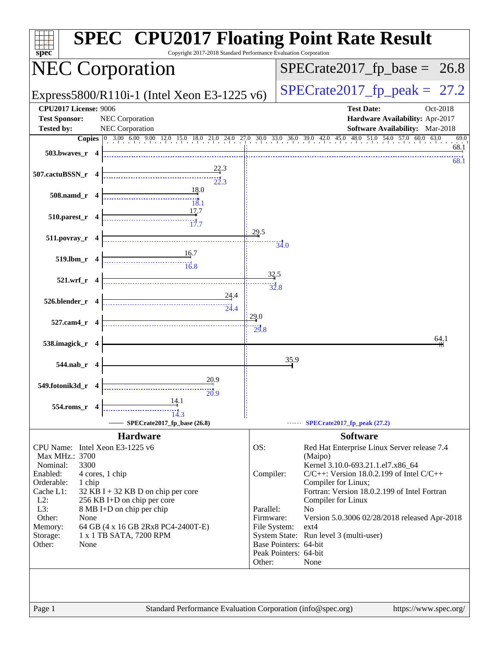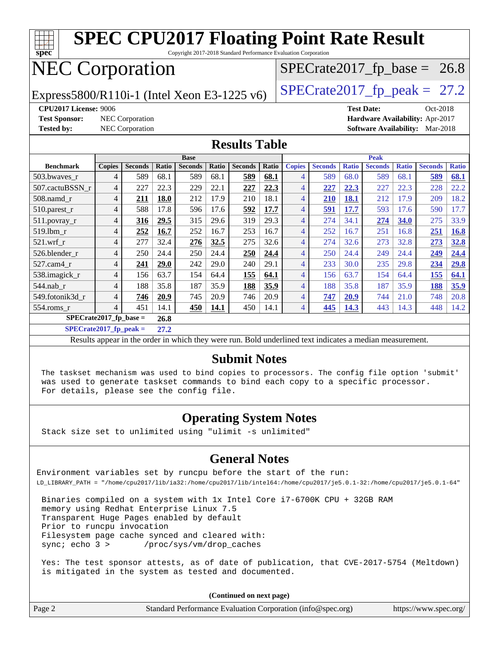| <b>SPEC CPU2017 Floating Point Rate Result</b><br><u>TTT</u><br>spec<br>Copyright 2017-2018 Standard Performance Evaluation Corporation |                                                                                                          |                 |       |                |       |                |                                |                                 |                |              |                                        |              |                |              |
|-----------------------------------------------------------------------------------------------------------------------------------------|----------------------------------------------------------------------------------------------------------|-----------------|-------|----------------|-------|----------------|--------------------------------|---------------------------------|----------------|--------------|----------------------------------------|--------------|----------------|--------------|
| <b>NEC Corporation</b>                                                                                                                  |                                                                                                          |                 |       |                |       |                |                                | $SPECrate2017_fp\_base = 26.8$  |                |              |                                        |              |                |              |
| Express5800/R110i-1 (Intel Xeon E3-1225 v6)                                                                                             |                                                                                                          |                 |       |                |       |                | $SPECTate2017_fp\_peak = 27.2$ |                                 |                |              |                                        |              |                |              |
| <b>CPU2017 License: 9006</b>                                                                                                            |                                                                                                          |                 |       |                |       |                |                                | <b>Test Date:</b><br>Oct-2018   |                |              |                                        |              |                |              |
| <b>Test Sponsor:</b>                                                                                                                    |                                                                                                          | NEC Corporation |       |                |       |                |                                | Hardware Availability: Apr-2017 |                |              |                                        |              |                |              |
| <b>Tested by:</b>                                                                                                                       |                                                                                                          | NEC Corporation |       |                |       |                |                                |                                 |                |              | <b>Software Availability:</b> Mar-2018 |              |                |              |
| <b>Results Table</b>                                                                                                                    |                                                                                                          |                 |       |                |       |                |                                |                                 |                |              |                                        |              |                |              |
|                                                                                                                                         |                                                                                                          |                 |       | <b>Base</b>    |       |                |                                | <b>Peak</b>                     |                |              |                                        |              |                |              |
| <b>Benchmark</b>                                                                                                                        | <b>Copies</b>                                                                                            | <b>Seconds</b>  | Ratio | <b>Seconds</b> | Ratio | <b>Seconds</b> | Ratio                          | <b>Copies</b>                   | <b>Seconds</b> | <b>Ratio</b> | <b>Seconds</b>                         | <b>Ratio</b> | <b>Seconds</b> | <b>Ratio</b> |
| 503.bwaves_r                                                                                                                            | $\overline{4}$                                                                                           | 589             | 68.1  | 589            | 68.1  | 589            | 68.1                           | 4                               | 589            | 68.0         | 589                                    | 68.1         | 589            | 68.1         |
| 507.cactuBSSN r                                                                                                                         | $\overline{4}$                                                                                           | 227             | 22.3  | 229            | 22.1  | 227            | 22.3                           | $\overline{4}$                  | 227            | 22.3         | 227                                    | 22.3         | 228            | 22.2         |
| 508.namd_r                                                                                                                              | $\overline{4}$                                                                                           | 211             | 18.0  | 212            | 17.9  | 210            | 18.1                           | $\overline{4}$                  | 210            | 18.1         | 212                                    | 17.9         | 209            | 18.2         |
| 510.parest_r                                                                                                                            | 4                                                                                                        | 588             | 17.8  | 596            | 17.6  | 592            | 17.7                           | $\overline{4}$                  | 591            | 17.7         | 593                                    | 17.6         | 590            | 17.7         |
| 511.povray_r                                                                                                                            | $\overline{4}$                                                                                           | 316             | 29.5  | 315            | 29.6  | 319            | 29.3                           | $\overline{4}$                  | 274            | 34.1         | 274                                    | 34.0         | 275            | 33.9         |
| 519.1bm_r                                                                                                                               | $\overline{4}$                                                                                           | 252             | 16.7  | 252            | 16.7  | 253            | 16.7                           | $\overline{4}$                  | 252            | 16.7         | 251                                    | 16.8         | 251            | 16.8         |
| $521.wrf_r$                                                                                                                             | 4                                                                                                        | 277             | 32.4  | 276            | 32.5  | 275            | 32.6                           | $\overline{4}$                  | 274            | 32.6         | 273                                    | 32.8         | 273            | 32.8         |
| 526.blender r                                                                                                                           | 4                                                                                                        | 250             | 24.4  | 250            | 24.4  | 250            | 24.4                           | $\overline{4}$                  | 250            | 24.4         | 249                                    | 24.4         | 249            | 24.4         |
| 527.cam4 r                                                                                                                              | $\overline{4}$                                                                                           | 241             | 29.0  | 242            | 29.0  | 240            | 29.1                           | $\overline{4}$                  | 233            | 30.0         | 235                                    | 29.8         | 234            | 29.8         |
| 538.imagick_r                                                                                                                           | $\overline{4}$                                                                                           | 156             | 63.7  | 154            | 64.4  | 155            | 64.1                           | $\overline{4}$                  | 156            | 63.7         | 154                                    | 64.4         | 155            | 64.1         |
| 544.nab_r                                                                                                                               | 4                                                                                                        | 188             | 35.8  | 187            | 35.9  | 188            | 35.9                           | $\overline{4}$                  | 188            | 35.8         | 187                                    | 35.9         | 188            | 35.9         |
| 549.fotonik3d r                                                                                                                         | 4                                                                                                        | 746             | 20.9  | 745            | 20.9  | 746            | 20.9                           | $\overline{4}$                  | 747            | 20.9         | 744                                    | 21.0         | 748            | 20.8         |
| 554.roms_r                                                                                                                              | $\overline{4}$                                                                                           | 451             | 14.1  | 450            | 14.1  | 450            | 14.1                           | $\overline{4}$                  | 445            | 14.3         | 443                                    | 14.3         | 448            | 14.2         |
| $SPECrate2017_fp\_base =$                                                                                                               |                                                                                                          |                 | 26.8  |                |       |                |                                |                                 |                |              |                                        |              |                |              |
|                                                                                                                                         | $SPECrate2017$ _fp_peak =<br>27.2                                                                        |                 |       |                |       |                |                                |                                 |                |              |                                        |              |                |              |
|                                                                                                                                         | Results appear in the order in which they were run. Bold underlined text indicates a median measurement. |                 |       |                |       |                |                                |                                 |                |              |                                        |              |                |              |

#### **[Submit Notes](http://www.spec.org/auto/cpu2017/Docs/result-fields.html#SubmitNotes)**

 The taskset mechanism was used to bind copies to processors. The config file option 'submit' was used to generate taskset commands to bind each copy to a specific processor. For details, please see the config file.

### **[Operating System Notes](http://www.spec.org/auto/cpu2017/Docs/result-fields.html#OperatingSystemNotes)**

Stack size set to unlimited using "ulimit -s unlimited"

#### **[General Notes](http://www.spec.org/auto/cpu2017/Docs/result-fields.html#GeneralNotes)**

Environment variables set by runcpu before the start of the run: LD\_LIBRARY\_PATH = "/home/cpu2017/lib/ia32:/home/cpu2017/lib/intel64:/home/cpu2017/je5.0.1-32:/home/cpu2017/je5.0.1-64"

 Binaries compiled on a system with 1x Intel Core i7-6700K CPU + 32GB RAM memory using Redhat Enterprise Linux 7.5 Transparent Huge Pages enabled by default Prior to runcpu invocation Filesystem page cache synced and cleared with: sync; echo 3 > /proc/sys/vm/drop\_caches

 Yes: The test sponsor attests, as of date of publication, that CVE-2017-5754 (Meltdown) is mitigated in the system as tested and documented.

**(Continued on next page)**

| Page 2 | Standard Performance Evaluation Corporation (info@spec.org) | https://www.spec.org/ |
|--------|-------------------------------------------------------------|-----------------------|
|--------|-------------------------------------------------------------|-----------------------|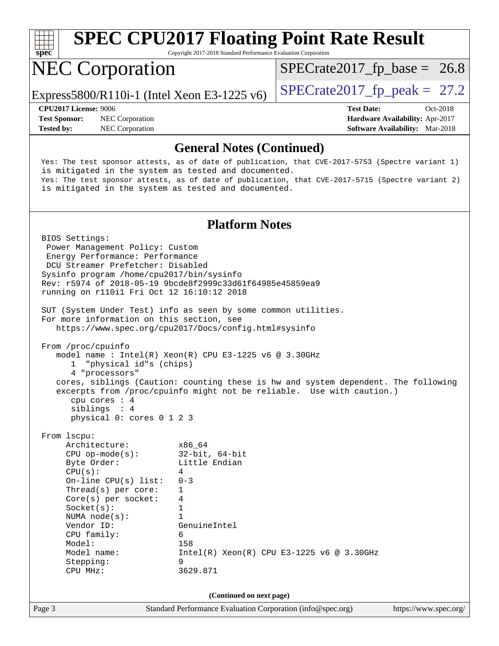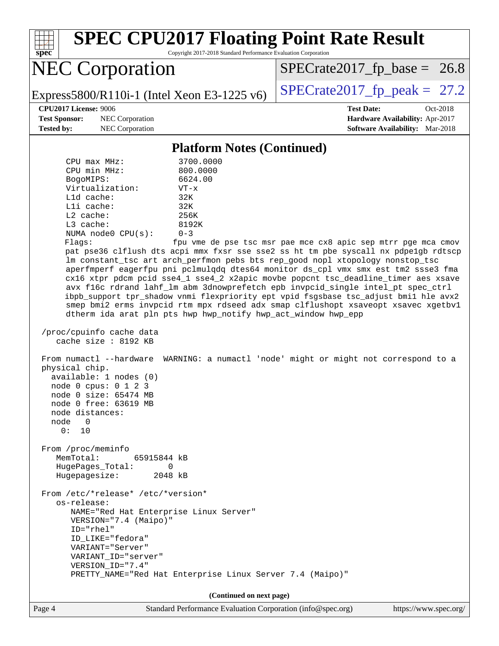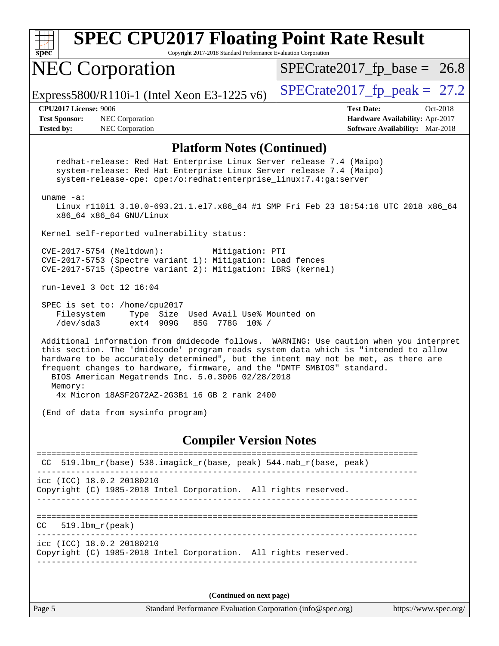| $\overline{\text{spec}^*}$                                                                                                                                                                                     | <b>SPEC CPU2017 Floating Point Rate Result</b><br>Copyright 2017-2018 Standard Performance Evaluation Corporation                                                                                                                                                   |  |  |  |  |
|----------------------------------------------------------------------------------------------------------------------------------------------------------------------------------------------------------------|---------------------------------------------------------------------------------------------------------------------------------------------------------------------------------------------------------------------------------------------------------------------|--|--|--|--|
| <b>NEC Corporation</b>                                                                                                                                                                                         | $SPECrate2017_fp\_base = 26.8$                                                                                                                                                                                                                                      |  |  |  |  |
| Express5800/R110i-1 (Intel Xeon E3-1225 v6)                                                                                                                                                                    | $SPECrate2017_fp\_peak = 27.2$                                                                                                                                                                                                                                      |  |  |  |  |
| <b>CPU2017 License: 9006</b><br><b>Test Sponsor:</b><br>NEC Corporation<br>NEC Corporation<br><b>Tested by:</b>                                                                                                | <b>Test Date:</b><br>Oct-2018<br>Hardware Availability: Apr-2017<br>Software Availability: Mar-2018                                                                                                                                                                 |  |  |  |  |
|                                                                                                                                                                                                                | <b>Platform Notes (Continued)</b>                                                                                                                                                                                                                                   |  |  |  |  |
| redhat-release: Red Hat Enterprise Linux Server release 7.4 (Maipo)<br>system-release: Red Hat Enterprise Linux Server release 7.4 (Maipo)<br>system-release-cpe: cpe:/o:redhat:enterprise_linux:7.4:ga:server |                                                                                                                                                                                                                                                                     |  |  |  |  |
| uname $-a$ :<br>x86_64 x86_64 GNU/Linux                                                                                                                                                                        | Linux r110i1 3.10.0-693.21.1.el7.x86_64 #1 SMP Fri Feb 23 18:54:16 UTC 2018 x86_64                                                                                                                                                                                  |  |  |  |  |
| Kernel self-reported vulnerability status:                                                                                                                                                                     |                                                                                                                                                                                                                                                                     |  |  |  |  |
| CVE-2017-5754 (Meltdown):<br>CVE-2017-5753 (Spectre variant 1): Mitigation: Load fences<br>CVE-2017-5715 (Spectre variant 2): Mitigation: IBRS (kernel)                                                        | Mitigation: PTI                                                                                                                                                                                                                                                     |  |  |  |  |
| run-level 3 Oct 12 16:04                                                                                                                                                                                       |                                                                                                                                                                                                                                                                     |  |  |  |  |
| SPEC is set to: /home/cpu2017<br>Filesystem<br>Type Size Used Avail Use% Mounted on<br>/dev/sda3<br>ext4 909G<br>85G                                                                                           | 778G 10% /                                                                                                                                                                                                                                                          |  |  |  |  |
| frequent changes to hardware, firmware, and the "DMTF SMBIOS" standard.<br>BIOS American Megatrends Inc. 5.0.3006 02/28/2018                                                                                   | Additional information from dmidecode follows. WARNING: Use caution when you interpret<br>this section. The 'dmidecode' program reads system data which is "intended to allow<br>hardware to be accurately determined", but the intent may not be met, as there are |  |  |  |  |
| Memory:<br>4x Micron 18ASF2G72AZ-2G3B1 16 GB 2 rank 2400                                                                                                                                                       |                                                                                                                                                                                                                                                                     |  |  |  |  |
| (End of data from sysinfo program)                                                                                                                                                                             |                                                                                                                                                                                                                                                                     |  |  |  |  |
|                                                                                                                                                                                                                | <b>Compiler Version Notes</b>                                                                                                                                                                                                                                       |  |  |  |  |
| $519.1bm_r(base)$ 538.imagick_r(base, peak) 544.nab_r(base, peak)                                                                                                                                              |                                                                                                                                                                                                                                                                     |  |  |  |  |
| icc (ICC) 18.0.2 20180210<br>Copyright (C) 1985-2018 Intel Corporation. All rights reserved.                                                                                                                   |                                                                                                                                                                                                                                                                     |  |  |  |  |
| $519.1bm_r(peak)$<br>CC.                                                                                                                                                                                       |                                                                                                                                                                                                                                                                     |  |  |  |  |
| icc (ICC) 18.0.2 20180210<br>Copyright (C) 1985-2018 Intel Corporation. All rights reserved.                                                                                                                   |                                                                                                                                                                                                                                                                     |  |  |  |  |
|                                                                                                                                                                                                                |                                                                                                                                                                                                                                                                     |  |  |  |  |
|                                                                                                                                                                                                                | (Continued on next page)                                                                                                                                                                                                                                            |  |  |  |  |

Page 5 Standard Performance Evaluation Corporation [\(info@spec.org\)](mailto:info@spec.org) <https://www.spec.org/>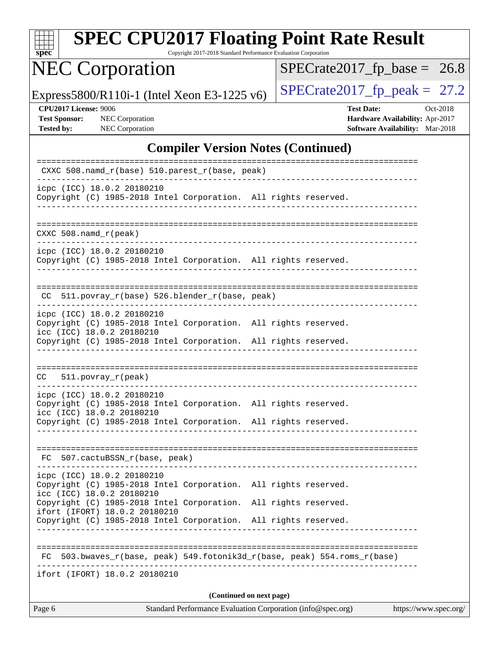| spe<br>U |  |  |  |  |  |
|----------|--|--|--|--|--|

Copyright 2017-2018 Standard Performance Evaluation Corporation

# NEC Corporation

 $SPECrate2017_fp\_base = 26.8$ 

Express5800/R110i-1 (Intel Xeon E3-1225 v6) [SPECrate2017\\_fp\\_peak =](http://www.spec.org/auto/cpu2017/Docs/result-fields.html#SPECrate2017fppeak)  $27.2$ 

**[Test Sponsor:](http://www.spec.org/auto/cpu2017/Docs/result-fields.html#TestSponsor)** NEC Corporation **[Hardware Availability:](http://www.spec.org/auto/cpu2017/Docs/result-fields.html#HardwareAvailability)** Apr-2017

**[CPU2017 License:](http://www.spec.org/auto/cpu2017/Docs/result-fields.html#CPU2017License)** 9006 **[Test Date:](http://www.spec.org/auto/cpu2017/Docs/result-fields.html#TestDate)** Oct-2018 **[Tested by:](http://www.spec.org/auto/cpu2017/Docs/result-fields.html#Testedby)** NEC Corporation **[Software Availability:](http://www.spec.org/auto/cpu2017/Docs/result-fields.html#SoftwareAvailability)** Mar-2018

#### **[Compiler Version Notes \(Continued\)](http://www.spec.org/auto/cpu2017/Docs/result-fields.html#CompilerVersionNotes)**

| Standard Performance Evaluation Corporation (info@spec.org)<br>Page 6<br>https://www.spec.org/                             |
|----------------------------------------------------------------------------------------------------------------------------|
| (Continued on next page)                                                                                                   |
| ifort (IFORT) 18.0.2 20180210                                                                                              |
| 503.bwaves_r(base, peak) 549.fotonik3d_r(base, peak) 554.roms_r(base)<br>FC.                                               |
|                                                                                                                            |
| Copyright (C) 1985-2018 Intel Corporation.<br>All rights reserved.                                                         |
| Copyright (C) 1985-2018 Intel Corporation. All rights reserved.<br>ifort (IFORT) 18.0.2 20180210                           |
| Copyright (C) 1985-2018 Intel Corporation. All rights reserved.<br>icc (ICC) 18.0.2 20180210                               |
| icpc (ICC) 18.0.2 20180210                                                                                                 |
| FC 507.cactuBSSN_r(base, peak)                                                                                             |
| Copyright (C) 1985-2018 Intel Corporation. All rights reserved.                                                            |
| icpc (ICC) 18.0.2 20180210<br>Copyright (C) 1985-2018 Intel Corporation. All rights reserved.<br>icc (ICC) 18.0.2 20180210 |
|                                                                                                                            |
| $511. povray_r (peak)$<br>CC                                                                                               |
| Copyright (C) 1985-2018 Intel Corporation. All rights reserved.                                                            |
| icpc (ICC) 18.0.2 20180210<br>Copyright (C) 1985-2018 Intel Corporation. All rights reserved.<br>icc (ICC) 18.0.2 20180210 |
| CC 511.povray_r(base) 526.blender_r(base, peak)                                                                            |
| Copyright (C) 1985-2018 Intel Corporation. All rights reserved.<br>------------------------                                |
| icpc (ICC) 18.0.2 20180210                                                                                                 |
| $CXXC$ 508. namd $r$ (peak)                                                                                                |
| Copyright (C) 1985-2018 Intel Corporation. All rights reserved.<br>_____________________________________                   |
| icpc (ICC) 18.0.2 20180210                                                                                                 |
| CXXC 508.namd_r(base) 510.parest_r(base, peak)                                                                             |
|                                                                                                                            |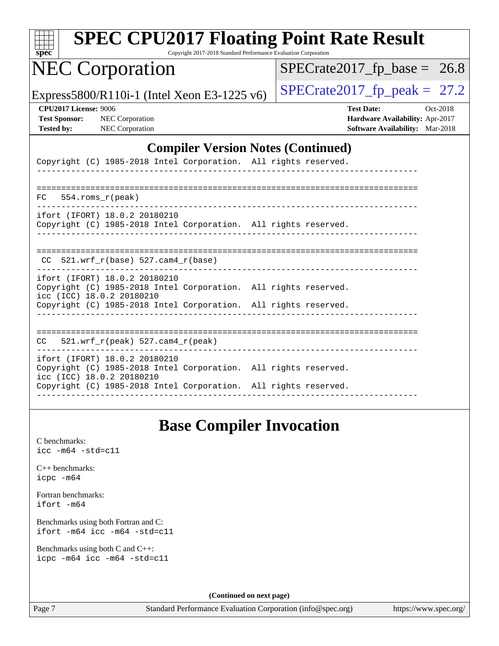| $s\overline{pec}$                                                                                                             | <b>SPEC CPU2017 Floating Point Rate Result</b><br>Copyright 2017-2018 Standard Performance Evaluation Corporation |                                |  |  |  |
|-------------------------------------------------------------------------------------------------------------------------------|-------------------------------------------------------------------------------------------------------------------|--------------------------------|--|--|--|
| <b>NEC Corporation</b>                                                                                                        |                                                                                                                   | $SPECrate2017_fp\_base = 26.8$ |  |  |  |
| Express5800/R110i-1 (Intel Xeon E3-1225 v6)                                                                                   | $SPECrate2017_fp\_peak = 27.2$                                                                                    |                                |  |  |  |
| <b>CPU2017 License: 9006</b><br><b>Test Sponsor:</b><br>NEC Corporation<br>NEC Corporation<br><b>Tested by:</b>               | <b>Test Date:</b><br>Oct-2018<br>Hardware Availability: Apr-2017<br>Software Availability: Mar-2018               |                                |  |  |  |
|                                                                                                                               | <b>Compiler Version Notes (Continued)</b>                                                                         |                                |  |  |  |
| Copyright (C) 1985-2018 Intel Corporation. All rights reserved.                                                               |                                                                                                                   |                                |  |  |  |
| 554.roms_r(peak)<br>FC.                                                                                                       |                                                                                                                   |                                |  |  |  |
| ifort (IFORT) 18.0.2 20180210<br>Copyright (C) 1985-2018 Intel Corporation. All rights reserved.                              |                                                                                                                   |                                |  |  |  |
| $CC$ 521.wrf_r(base) 527.cam4_r(base)                                                                                         |                                                                                                                   |                                |  |  |  |
| ifort (IFORT) 18.0.2 20180210<br>Copyright (C) 1985-2018 Intel Corporation. All rights reserved.<br>icc (ICC) 18.0.2 20180210 |                                                                                                                   |                                |  |  |  |
| Copyright (C) 1985-2018 Intel Corporation. All rights reserved.                                                               |                                                                                                                   |                                |  |  |  |
| 521.wrf_r(peak) 527.cam4_r(peak)<br>CC                                                                                        |                                                                                                                   |                                |  |  |  |
| ifort (IFORT) 18.0.2 20180210<br>Copyright (C) 1985-2018 Intel Corporation. All rights reserved.<br>icc (ICC) 18.0.2 20180210 |                                                                                                                   |                                |  |  |  |
| Copyright (C) 1985-2018 Intel Corporation. All rights reserved.                                                               |                                                                                                                   |                                |  |  |  |
|                                                                                                                               |                                                                                                                   |                                |  |  |  |

### **[Base Compiler Invocation](http://www.spec.org/auto/cpu2017/Docs/result-fields.html#BaseCompilerInvocation)**

[C benchmarks](http://www.spec.org/auto/cpu2017/Docs/result-fields.html#Cbenchmarks): [icc -m64 -std=c11](http://www.spec.org/cpu2017/results/res2018q4/cpu2017-20181015-09178.flags.html#user_CCbase_intel_icc_64bit_c11_33ee0cdaae7deeeab2a9725423ba97205ce30f63b9926c2519791662299b76a0318f32ddfffdc46587804de3178b4f9328c46fa7c2b0cd779d7a61945c91cd35)

[C++ benchmarks:](http://www.spec.org/auto/cpu2017/Docs/result-fields.html#CXXbenchmarks) [icpc -m64](http://www.spec.org/cpu2017/results/res2018q4/cpu2017-20181015-09178.flags.html#user_CXXbase_intel_icpc_64bit_4ecb2543ae3f1412ef961e0650ca070fec7b7afdcd6ed48761b84423119d1bf6bdf5cad15b44d48e7256388bc77273b966e5eb805aefd121eb22e9299b2ec9d9)

[Fortran benchmarks](http://www.spec.org/auto/cpu2017/Docs/result-fields.html#Fortranbenchmarks): [ifort -m64](http://www.spec.org/cpu2017/results/res2018q4/cpu2017-20181015-09178.flags.html#user_FCbase_intel_ifort_64bit_24f2bb282fbaeffd6157abe4f878425411749daecae9a33200eee2bee2fe76f3b89351d69a8130dd5949958ce389cf37ff59a95e7a40d588e8d3a57e0c3fd751)

[Benchmarks using both Fortran and C](http://www.spec.org/auto/cpu2017/Docs/result-fields.html#BenchmarksusingbothFortranandC): [ifort -m64](http://www.spec.org/cpu2017/results/res2018q4/cpu2017-20181015-09178.flags.html#user_CC_FCbase_intel_ifort_64bit_24f2bb282fbaeffd6157abe4f878425411749daecae9a33200eee2bee2fe76f3b89351d69a8130dd5949958ce389cf37ff59a95e7a40d588e8d3a57e0c3fd751) [icc -m64 -std=c11](http://www.spec.org/cpu2017/results/res2018q4/cpu2017-20181015-09178.flags.html#user_CC_FCbase_intel_icc_64bit_c11_33ee0cdaae7deeeab2a9725423ba97205ce30f63b9926c2519791662299b76a0318f32ddfffdc46587804de3178b4f9328c46fa7c2b0cd779d7a61945c91cd35)

[Benchmarks using both C and C++](http://www.spec.org/auto/cpu2017/Docs/result-fields.html#BenchmarksusingbothCandCXX): [icpc -m64](http://www.spec.org/cpu2017/results/res2018q4/cpu2017-20181015-09178.flags.html#user_CC_CXXbase_intel_icpc_64bit_4ecb2543ae3f1412ef961e0650ca070fec7b7afdcd6ed48761b84423119d1bf6bdf5cad15b44d48e7256388bc77273b966e5eb805aefd121eb22e9299b2ec9d9) [icc -m64 -std=c11](http://www.spec.org/cpu2017/results/res2018q4/cpu2017-20181015-09178.flags.html#user_CC_CXXbase_intel_icc_64bit_c11_33ee0cdaae7deeeab2a9725423ba97205ce30f63b9926c2519791662299b76a0318f32ddfffdc46587804de3178b4f9328c46fa7c2b0cd779d7a61945c91cd35)

**(Continued on next page)**

Page 7 Standard Performance Evaluation Corporation [\(info@spec.org\)](mailto:info@spec.org) <https://www.spec.org/>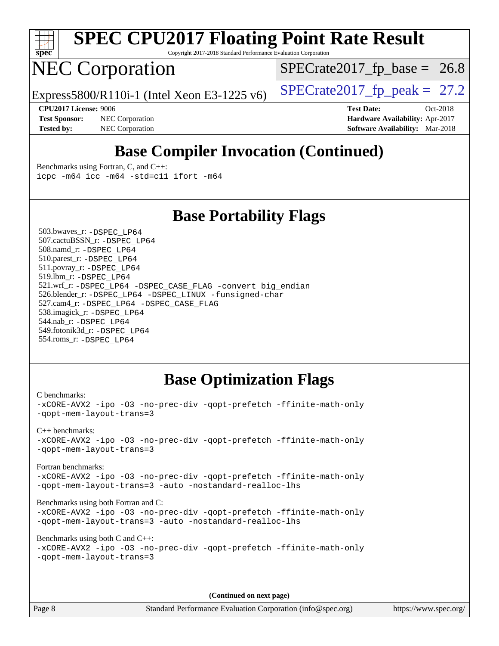

Copyright 2017-2018 Standard Performance Evaluation Corporation

### NEC Corporation

 $SPECTate2017_fp\_base = 26.8$ 

Express5800/R110i-1 (Intel Xeon E3-1225 v6) [SPECrate2017\\_fp\\_peak =](http://www.spec.org/auto/cpu2017/Docs/result-fields.html#SPECrate2017fppeak)  $27.2$ 

**[Tested by:](http://www.spec.org/auto/cpu2017/Docs/result-fields.html#Testedby)** NEC Corporation **[Software Availability:](http://www.spec.org/auto/cpu2017/Docs/result-fields.html#SoftwareAvailability)** Mar-2018

**[CPU2017 License:](http://www.spec.org/auto/cpu2017/Docs/result-fields.html#CPU2017License)** 9006 **[Test Date:](http://www.spec.org/auto/cpu2017/Docs/result-fields.html#TestDate)** Oct-2018 **[Test Sponsor:](http://www.spec.org/auto/cpu2017/Docs/result-fields.html#TestSponsor)** NEC Corporation **[Hardware Availability:](http://www.spec.org/auto/cpu2017/Docs/result-fields.html#HardwareAvailability)** Apr-2017

### **[Base Compiler Invocation \(Continued\)](http://www.spec.org/auto/cpu2017/Docs/result-fields.html#BaseCompilerInvocation)**

[Benchmarks using Fortran, C, and C++:](http://www.spec.org/auto/cpu2017/Docs/result-fields.html#BenchmarksusingFortranCandCXX) [icpc -m64](http://www.spec.org/cpu2017/results/res2018q4/cpu2017-20181015-09178.flags.html#user_CC_CXX_FCbase_intel_icpc_64bit_4ecb2543ae3f1412ef961e0650ca070fec7b7afdcd6ed48761b84423119d1bf6bdf5cad15b44d48e7256388bc77273b966e5eb805aefd121eb22e9299b2ec9d9) [icc -m64 -std=c11](http://www.spec.org/cpu2017/results/res2018q4/cpu2017-20181015-09178.flags.html#user_CC_CXX_FCbase_intel_icc_64bit_c11_33ee0cdaae7deeeab2a9725423ba97205ce30f63b9926c2519791662299b76a0318f32ddfffdc46587804de3178b4f9328c46fa7c2b0cd779d7a61945c91cd35) [ifort -m64](http://www.spec.org/cpu2017/results/res2018q4/cpu2017-20181015-09178.flags.html#user_CC_CXX_FCbase_intel_ifort_64bit_24f2bb282fbaeffd6157abe4f878425411749daecae9a33200eee2bee2fe76f3b89351d69a8130dd5949958ce389cf37ff59a95e7a40d588e8d3a57e0c3fd751)

### **[Base Portability Flags](http://www.spec.org/auto/cpu2017/Docs/result-fields.html#BasePortabilityFlags)**

 503.bwaves\_r: [-DSPEC\\_LP64](http://www.spec.org/cpu2017/results/res2018q4/cpu2017-20181015-09178.flags.html#suite_basePORTABILITY503_bwaves_r_DSPEC_LP64) 507.cactuBSSN\_r: [-DSPEC\\_LP64](http://www.spec.org/cpu2017/results/res2018q4/cpu2017-20181015-09178.flags.html#suite_basePORTABILITY507_cactuBSSN_r_DSPEC_LP64) 508.namd\_r: [-DSPEC\\_LP64](http://www.spec.org/cpu2017/results/res2018q4/cpu2017-20181015-09178.flags.html#suite_basePORTABILITY508_namd_r_DSPEC_LP64) 510.parest\_r: [-DSPEC\\_LP64](http://www.spec.org/cpu2017/results/res2018q4/cpu2017-20181015-09178.flags.html#suite_basePORTABILITY510_parest_r_DSPEC_LP64) 511.povray\_r: [-DSPEC\\_LP64](http://www.spec.org/cpu2017/results/res2018q4/cpu2017-20181015-09178.flags.html#suite_basePORTABILITY511_povray_r_DSPEC_LP64) 519.lbm\_r: [-DSPEC\\_LP64](http://www.spec.org/cpu2017/results/res2018q4/cpu2017-20181015-09178.flags.html#suite_basePORTABILITY519_lbm_r_DSPEC_LP64) 521.wrf\_r: [-DSPEC\\_LP64](http://www.spec.org/cpu2017/results/res2018q4/cpu2017-20181015-09178.flags.html#suite_basePORTABILITY521_wrf_r_DSPEC_LP64) [-DSPEC\\_CASE\\_FLAG](http://www.spec.org/cpu2017/results/res2018q4/cpu2017-20181015-09178.flags.html#b521.wrf_r_baseCPORTABILITY_DSPEC_CASE_FLAG) [-convert big\\_endian](http://www.spec.org/cpu2017/results/res2018q4/cpu2017-20181015-09178.flags.html#user_baseFPORTABILITY521_wrf_r_convert_big_endian_c3194028bc08c63ac5d04de18c48ce6d347e4e562e8892b8bdbdc0214820426deb8554edfa529a3fb25a586e65a3d812c835984020483e7e73212c4d31a38223) 526.blender\_r: [-DSPEC\\_LP64](http://www.spec.org/cpu2017/results/res2018q4/cpu2017-20181015-09178.flags.html#suite_basePORTABILITY526_blender_r_DSPEC_LP64) [-DSPEC\\_LINUX](http://www.spec.org/cpu2017/results/res2018q4/cpu2017-20181015-09178.flags.html#b526.blender_r_baseCPORTABILITY_DSPEC_LINUX) [-funsigned-char](http://www.spec.org/cpu2017/results/res2018q4/cpu2017-20181015-09178.flags.html#user_baseCPORTABILITY526_blender_r_force_uchar_40c60f00ab013830e2dd6774aeded3ff59883ba5a1fc5fc14077f794d777847726e2a5858cbc7672e36e1b067e7e5c1d9a74f7176df07886a243d7cc18edfe67) 527.cam4\_r: [-DSPEC\\_LP64](http://www.spec.org/cpu2017/results/res2018q4/cpu2017-20181015-09178.flags.html#suite_basePORTABILITY527_cam4_r_DSPEC_LP64) [-DSPEC\\_CASE\\_FLAG](http://www.spec.org/cpu2017/results/res2018q4/cpu2017-20181015-09178.flags.html#b527.cam4_r_baseCPORTABILITY_DSPEC_CASE_FLAG) 538.imagick\_r: [-DSPEC\\_LP64](http://www.spec.org/cpu2017/results/res2018q4/cpu2017-20181015-09178.flags.html#suite_basePORTABILITY538_imagick_r_DSPEC_LP64) 544.nab\_r: [-DSPEC\\_LP64](http://www.spec.org/cpu2017/results/res2018q4/cpu2017-20181015-09178.flags.html#suite_basePORTABILITY544_nab_r_DSPEC_LP64) 549.fotonik3d\_r: [-DSPEC\\_LP64](http://www.spec.org/cpu2017/results/res2018q4/cpu2017-20181015-09178.flags.html#suite_basePORTABILITY549_fotonik3d_r_DSPEC_LP64) 554.roms\_r: [-DSPEC\\_LP64](http://www.spec.org/cpu2017/results/res2018q4/cpu2017-20181015-09178.flags.html#suite_basePORTABILITY554_roms_r_DSPEC_LP64)

### **[Base Optimization Flags](http://www.spec.org/auto/cpu2017/Docs/result-fields.html#BaseOptimizationFlags)**

[C benchmarks](http://www.spec.org/auto/cpu2017/Docs/result-fields.html#Cbenchmarks): [-xCORE-AVX2](http://www.spec.org/cpu2017/results/res2018q4/cpu2017-20181015-09178.flags.html#user_CCbase_f-xCORE-AVX2) [-ipo](http://www.spec.org/cpu2017/results/res2018q4/cpu2017-20181015-09178.flags.html#user_CCbase_f-ipo) [-O3](http://www.spec.org/cpu2017/results/res2018q4/cpu2017-20181015-09178.flags.html#user_CCbase_f-O3) [-no-prec-div](http://www.spec.org/cpu2017/results/res2018q4/cpu2017-20181015-09178.flags.html#user_CCbase_f-no-prec-div) [-qopt-prefetch](http://www.spec.org/cpu2017/results/res2018q4/cpu2017-20181015-09178.flags.html#user_CCbase_f-qopt-prefetch) [-ffinite-math-only](http://www.spec.org/cpu2017/results/res2018q4/cpu2017-20181015-09178.flags.html#user_CCbase_f_finite_math_only_cb91587bd2077682c4b38af759c288ed7c732db004271a9512da14a4f8007909a5f1427ecbf1a0fb78ff2a814402c6114ac565ca162485bbcae155b5e4258871) [-qopt-mem-layout-trans=3](http://www.spec.org/cpu2017/results/res2018q4/cpu2017-20181015-09178.flags.html#user_CCbase_f-qopt-mem-layout-trans_de80db37974c74b1f0e20d883f0b675c88c3b01e9d123adea9b28688d64333345fb62bc4a798493513fdb68f60282f9a726aa07f478b2f7113531aecce732043) [C++ benchmarks:](http://www.spec.org/auto/cpu2017/Docs/result-fields.html#CXXbenchmarks) [-xCORE-AVX2](http://www.spec.org/cpu2017/results/res2018q4/cpu2017-20181015-09178.flags.html#user_CXXbase_f-xCORE-AVX2) [-ipo](http://www.spec.org/cpu2017/results/res2018q4/cpu2017-20181015-09178.flags.html#user_CXXbase_f-ipo) [-O3](http://www.spec.org/cpu2017/results/res2018q4/cpu2017-20181015-09178.flags.html#user_CXXbase_f-O3) [-no-prec-div](http://www.spec.org/cpu2017/results/res2018q4/cpu2017-20181015-09178.flags.html#user_CXXbase_f-no-prec-div) [-qopt-prefetch](http://www.spec.org/cpu2017/results/res2018q4/cpu2017-20181015-09178.flags.html#user_CXXbase_f-qopt-prefetch) [-ffinite-math-only](http://www.spec.org/cpu2017/results/res2018q4/cpu2017-20181015-09178.flags.html#user_CXXbase_f_finite_math_only_cb91587bd2077682c4b38af759c288ed7c732db004271a9512da14a4f8007909a5f1427ecbf1a0fb78ff2a814402c6114ac565ca162485bbcae155b5e4258871) [-qopt-mem-layout-trans=3](http://www.spec.org/cpu2017/results/res2018q4/cpu2017-20181015-09178.flags.html#user_CXXbase_f-qopt-mem-layout-trans_de80db37974c74b1f0e20d883f0b675c88c3b01e9d123adea9b28688d64333345fb62bc4a798493513fdb68f60282f9a726aa07f478b2f7113531aecce732043) [Fortran benchmarks](http://www.spec.org/auto/cpu2017/Docs/result-fields.html#Fortranbenchmarks): [-xCORE-AVX2](http://www.spec.org/cpu2017/results/res2018q4/cpu2017-20181015-09178.flags.html#user_FCbase_f-xCORE-AVX2) [-ipo](http://www.spec.org/cpu2017/results/res2018q4/cpu2017-20181015-09178.flags.html#user_FCbase_f-ipo) [-O3](http://www.spec.org/cpu2017/results/res2018q4/cpu2017-20181015-09178.flags.html#user_FCbase_f-O3) [-no-prec-div](http://www.spec.org/cpu2017/results/res2018q4/cpu2017-20181015-09178.flags.html#user_FCbase_f-no-prec-div) [-qopt-prefetch](http://www.spec.org/cpu2017/results/res2018q4/cpu2017-20181015-09178.flags.html#user_FCbase_f-qopt-prefetch) [-ffinite-math-only](http://www.spec.org/cpu2017/results/res2018q4/cpu2017-20181015-09178.flags.html#user_FCbase_f_finite_math_only_cb91587bd2077682c4b38af759c288ed7c732db004271a9512da14a4f8007909a5f1427ecbf1a0fb78ff2a814402c6114ac565ca162485bbcae155b5e4258871) [-qopt-mem-layout-trans=3](http://www.spec.org/cpu2017/results/res2018q4/cpu2017-20181015-09178.flags.html#user_FCbase_f-qopt-mem-layout-trans_de80db37974c74b1f0e20d883f0b675c88c3b01e9d123adea9b28688d64333345fb62bc4a798493513fdb68f60282f9a726aa07f478b2f7113531aecce732043) [-auto](http://www.spec.org/cpu2017/results/res2018q4/cpu2017-20181015-09178.flags.html#user_FCbase_f-auto) [-nostandard-realloc-lhs](http://www.spec.org/cpu2017/results/res2018q4/cpu2017-20181015-09178.flags.html#user_FCbase_f_2003_std_realloc_82b4557e90729c0f113870c07e44d33d6f5a304b4f63d4c15d2d0f1fab99f5daaed73bdb9275d9ae411527f28b936061aa8b9c8f2d63842963b95c9dd6426b8a) [Benchmarks using both Fortran and C](http://www.spec.org/auto/cpu2017/Docs/result-fields.html#BenchmarksusingbothFortranandC): [-xCORE-AVX2](http://www.spec.org/cpu2017/results/res2018q4/cpu2017-20181015-09178.flags.html#user_CC_FCbase_f-xCORE-AVX2) [-ipo](http://www.spec.org/cpu2017/results/res2018q4/cpu2017-20181015-09178.flags.html#user_CC_FCbase_f-ipo) [-O3](http://www.spec.org/cpu2017/results/res2018q4/cpu2017-20181015-09178.flags.html#user_CC_FCbase_f-O3) [-no-prec-div](http://www.spec.org/cpu2017/results/res2018q4/cpu2017-20181015-09178.flags.html#user_CC_FCbase_f-no-prec-div) [-qopt-prefetch](http://www.spec.org/cpu2017/results/res2018q4/cpu2017-20181015-09178.flags.html#user_CC_FCbase_f-qopt-prefetch) [-ffinite-math-only](http://www.spec.org/cpu2017/results/res2018q4/cpu2017-20181015-09178.flags.html#user_CC_FCbase_f_finite_math_only_cb91587bd2077682c4b38af759c288ed7c732db004271a9512da14a4f8007909a5f1427ecbf1a0fb78ff2a814402c6114ac565ca162485bbcae155b5e4258871) [-qopt-mem-layout-trans=3](http://www.spec.org/cpu2017/results/res2018q4/cpu2017-20181015-09178.flags.html#user_CC_FCbase_f-qopt-mem-layout-trans_de80db37974c74b1f0e20d883f0b675c88c3b01e9d123adea9b28688d64333345fb62bc4a798493513fdb68f60282f9a726aa07f478b2f7113531aecce732043) [-auto](http://www.spec.org/cpu2017/results/res2018q4/cpu2017-20181015-09178.flags.html#user_CC_FCbase_f-auto) [-nostandard-realloc-lhs](http://www.spec.org/cpu2017/results/res2018q4/cpu2017-20181015-09178.flags.html#user_CC_FCbase_f_2003_std_realloc_82b4557e90729c0f113870c07e44d33d6f5a304b4f63d4c15d2d0f1fab99f5daaed73bdb9275d9ae411527f28b936061aa8b9c8f2d63842963b95c9dd6426b8a) [Benchmarks using both C and C++](http://www.spec.org/auto/cpu2017/Docs/result-fields.html#BenchmarksusingbothCandCXX): [-xCORE-AVX2](http://www.spec.org/cpu2017/results/res2018q4/cpu2017-20181015-09178.flags.html#user_CC_CXXbase_f-xCORE-AVX2) [-ipo](http://www.spec.org/cpu2017/results/res2018q4/cpu2017-20181015-09178.flags.html#user_CC_CXXbase_f-ipo) [-O3](http://www.spec.org/cpu2017/results/res2018q4/cpu2017-20181015-09178.flags.html#user_CC_CXXbase_f-O3) [-no-prec-div](http://www.spec.org/cpu2017/results/res2018q4/cpu2017-20181015-09178.flags.html#user_CC_CXXbase_f-no-prec-div) [-qopt-prefetch](http://www.spec.org/cpu2017/results/res2018q4/cpu2017-20181015-09178.flags.html#user_CC_CXXbase_f-qopt-prefetch) [-ffinite-math-only](http://www.spec.org/cpu2017/results/res2018q4/cpu2017-20181015-09178.flags.html#user_CC_CXXbase_f_finite_math_only_cb91587bd2077682c4b38af759c288ed7c732db004271a9512da14a4f8007909a5f1427ecbf1a0fb78ff2a814402c6114ac565ca162485bbcae155b5e4258871) [-qopt-mem-layout-trans=3](http://www.spec.org/cpu2017/results/res2018q4/cpu2017-20181015-09178.flags.html#user_CC_CXXbase_f-qopt-mem-layout-trans_de80db37974c74b1f0e20d883f0b675c88c3b01e9d123adea9b28688d64333345fb62bc4a798493513fdb68f60282f9a726aa07f478b2f7113531aecce732043)

**(Continued on next page)**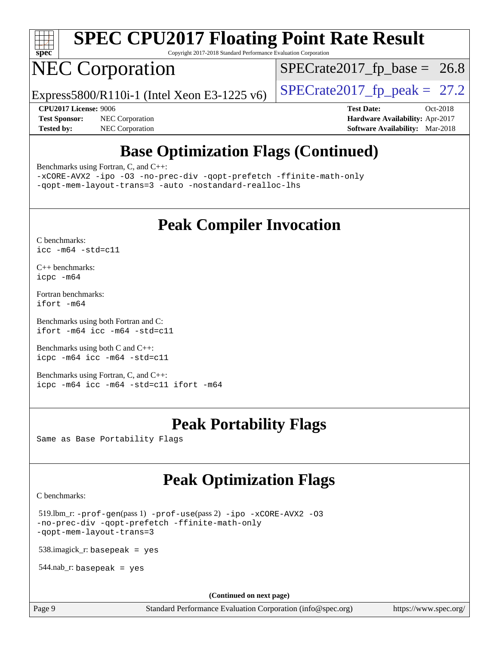

Copyright 2017-2018 Standard Performance Evaluation Corporation

# NEC Corporation

 $SPECTate2017_fp\_base = 26.8$ 

Express5800/R110i-1 (Intel Xeon E3-1225 v6) [SPECrate2017\\_fp\\_peak =](http://www.spec.org/auto/cpu2017/Docs/result-fields.html#SPECrate2017fppeak)  $27.2$ 

**[Test Sponsor:](http://www.spec.org/auto/cpu2017/Docs/result-fields.html#TestSponsor)** NEC Corporation **[Hardware Availability:](http://www.spec.org/auto/cpu2017/Docs/result-fields.html#HardwareAvailability)** Apr-2017 **[Tested by:](http://www.spec.org/auto/cpu2017/Docs/result-fields.html#Testedby)** NEC Corporation **[Software Availability:](http://www.spec.org/auto/cpu2017/Docs/result-fields.html#SoftwareAvailability)** Mar-2018

**[CPU2017 License:](http://www.spec.org/auto/cpu2017/Docs/result-fields.html#CPU2017License)** 9006 **[Test Date:](http://www.spec.org/auto/cpu2017/Docs/result-fields.html#TestDate)** Oct-2018

### **[Base Optimization Flags \(Continued\)](http://www.spec.org/auto/cpu2017/Docs/result-fields.html#BaseOptimizationFlags)**

[Benchmarks using Fortran, C, and C++:](http://www.spec.org/auto/cpu2017/Docs/result-fields.html#BenchmarksusingFortranCandCXX)

[-xCORE-AVX2](http://www.spec.org/cpu2017/results/res2018q4/cpu2017-20181015-09178.flags.html#user_CC_CXX_FCbase_f-xCORE-AVX2) [-ipo](http://www.spec.org/cpu2017/results/res2018q4/cpu2017-20181015-09178.flags.html#user_CC_CXX_FCbase_f-ipo) [-O3](http://www.spec.org/cpu2017/results/res2018q4/cpu2017-20181015-09178.flags.html#user_CC_CXX_FCbase_f-O3) [-no-prec-div](http://www.spec.org/cpu2017/results/res2018q4/cpu2017-20181015-09178.flags.html#user_CC_CXX_FCbase_f-no-prec-div) [-qopt-prefetch](http://www.spec.org/cpu2017/results/res2018q4/cpu2017-20181015-09178.flags.html#user_CC_CXX_FCbase_f-qopt-prefetch) [-ffinite-math-only](http://www.spec.org/cpu2017/results/res2018q4/cpu2017-20181015-09178.flags.html#user_CC_CXX_FCbase_f_finite_math_only_cb91587bd2077682c4b38af759c288ed7c732db004271a9512da14a4f8007909a5f1427ecbf1a0fb78ff2a814402c6114ac565ca162485bbcae155b5e4258871) [-qopt-mem-layout-trans=3](http://www.spec.org/cpu2017/results/res2018q4/cpu2017-20181015-09178.flags.html#user_CC_CXX_FCbase_f-qopt-mem-layout-trans_de80db37974c74b1f0e20d883f0b675c88c3b01e9d123adea9b28688d64333345fb62bc4a798493513fdb68f60282f9a726aa07f478b2f7113531aecce732043) [-auto](http://www.spec.org/cpu2017/results/res2018q4/cpu2017-20181015-09178.flags.html#user_CC_CXX_FCbase_f-auto) [-nostandard-realloc-lhs](http://www.spec.org/cpu2017/results/res2018q4/cpu2017-20181015-09178.flags.html#user_CC_CXX_FCbase_f_2003_std_realloc_82b4557e90729c0f113870c07e44d33d6f5a304b4f63d4c15d2d0f1fab99f5daaed73bdb9275d9ae411527f28b936061aa8b9c8f2d63842963b95c9dd6426b8a)

### **[Peak Compiler Invocation](http://www.spec.org/auto/cpu2017/Docs/result-fields.html#PeakCompilerInvocation)**

[C benchmarks](http://www.spec.org/auto/cpu2017/Docs/result-fields.html#Cbenchmarks): [icc -m64 -std=c11](http://www.spec.org/cpu2017/results/res2018q4/cpu2017-20181015-09178.flags.html#user_CCpeak_intel_icc_64bit_c11_33ee0cdaae7deeeab2a9725423ba97205ce30f63b9926c2519791662299b76a0318f32ddfffdc46587804de3178b4f9328c46fa7c2b0cd779d7a61945c91cd35)

[C++ benchmarks:](http://www.spec.org/auto/cpu2017/Docs/result-fields.html#CXXbenchmarks) [icpc -m64](http://www.spec.org/cpu2017/results/res2018q4/cpu2017-20181015-09178.flags.html#user_CXXpeak_intel_icpc_64bit_4ecb2543ae3f1412ef961e0650ca070fec7b7afdcd6ed48761b84423119d1bf6bdf5cad15b44d48e7256388bc77273b966e5eb805aefd121eb22e9299b2ec9d9)

[Fortran benchmarks](http://www.spec.org/auto/cpu2017/Docs/result-fields.html#Fortranbenchmarks): [ifort -m64](http://www.spec.org/cpu2017/results/res2018q4/cpu2017-20181015-09178.flags.html#user_FCpeak_intel_ifort_64bit_24f2bb282fbaeffd6157abe4f878425411749daecae9a33200eee2bee2fe76f3b89351d69a8130dd5949958ce389cf37ff59a95e7a40d588e8d3a57e0c3fd751)

[Benchmarks using both Fortran and C](http://www.spec.org/auto/cpu2017/Docs/result-fields.html#BenchmarksusingbothFortranandC): [ifort -m64](http://www.spec.org/cpu2017/results/res2018q4/cpu2017-20181015-09178.flags.html#user_CC_FCpeak_intel_ifort_64bit_24f2bb282fbaeffd6157abe4f878425411749daecae9a33200eee2bee2fe76f3b89351d69a8130dd5949958ce389cf37ff59a95e7a40d588e8d3a57e0c3fd751) [icc -m64 -std=c11](http://www.spec.org/cpu2017/results/res2018q4/cpu2017-20181015-09178.flags.html#user_CC_FCpeak_intel_icc_64bit_c11_33ee0cdaae7deeeab2a9725423ba97205ce30f63b9926c2519791662299b76a0318f32ddfffdc46587804de3178b4f9328c46fa7c2b0cd779d7a61945c91cd35)

[Benchmarks using both C and C++](http://www.spec.org/auto/cpu2017/Docs/result-fields.html#BenchmarksusingbothCandCXX): [icpc -m64](http://www.spec.org/cpu2017/results/res2018q4/cpu2017-20181015-09178.flags.html#user_CC_CXXpeak_intel_icpc_64bit_4ecb2543ae3f1412ef961e0650ca070fec7b7afdcd6ed48761b84423119d1bf6bdf5cad15b44d48e7256388bc77273b966e5eb805aefd121eb22e9299b2ec9d9) [icc -m64 -std=c11](http://www.spec.org/cpu2017/results/res2018q4/cpu2017-20181015-09178.flags.html#user_CC_CXXpeak_intel_icc_64bit_c11_33ee0cdaae7deeeab2a9725423ba97205ce30f63b9926c2519791662299b76a0318f32ddfffdc46587804de3178b4f9328c46fa7c2b0cd779d7a61945c91cd35)

[Benchmarks using Fortran, C, and C++:](http://www.spec.org/auto/cpu2017/Docs/result-fields.html#BenchmarksusingFortranCandCXX) [icpc -m64](http://www.spec.org/cpu2017/results/res2018q4/cpu2017-20181015-09178.flags.html#user_CC_CXX_FCpeak_intel_icpc_64bit_4ecb2543ae3f1412ef961e0650ca070fec7b7afdcd6ed48761b84423119d1bf6bdf5cad15b44d48e7256388bc77273b966e5eb805aefd121eb22e9299b2ec9d9) [icc -m64 -std=c11](http://www.spec.org/cpu2017/results/res2018q4/cpu2017-20181015-09178.flags.html#user_CC_CXX_FCpeak_intel_icc_64bit_c11_33ee0cdaae7deeeab2a9725423ba97205ce30f63b9926c2519791662299b76a0318f32ddfffdc46587804de3178b4f9328c46fa7c2b0cd779d7a61945c91cd35) [ifort -m64](http://www.spec.org/cpu2017/results/res2018q4/cpu2017-20181015-09178.flags.html#user_CC_CXX_FCpeak_intel_ifort_64bit_24f2bb282fbaeffd6157abe4f878425411749daecae9a33200eee2bee2fe76f3b89351d69a8130dd5949958ce389cf37ff59a95e7a40d588e8d3a57e0c3fd751)

### **[Peak Portability Flags](http://www.spec.org/auto/cpu2017/Docs/result-fields.html#PeakPortabilityFlags)**

Same as Base Portability Flags

### **[Peak Optimization Flags](http://www.spec.org/auto/cpu2017/Docs/result-fields.html#PeakOptimizationFlags)**

[C benchmarks](http://www.spec.org/auto/cpu2017/Docs/result-fields.html#Cbenchmarks):

 519.lbm\_r: [-prof-gen](http://www.spec.org/cpu2017/results/res2018q4/cpu2017-20181015-09178.flags.html#user_peakPASS1_CFLAGSPASS1_LDFLAGS519_lbm_r_prof_gen_5aa4926d6013ddb2a31985c654b3eb18169fc0c6952a63635c234f711e6e63dd76e94ad52365559451ec499a2cdb89e4dc58ba4c67ef54ca681ffbe1461d6b36)(pass 1) [-prof-use](http://www.spec.org/cpu2017/results/res2018q4/cpu2017-20181015-09178.flags.html#user_peakPASS2_CFLAGSPASS2_LDFLAGS519_lbm_r_prof_use_1a21ceae95f36a2b53c25747139a6c16ca95bd9def2a207b4f0849963b97e94f5260e30a0c64f4bb623698870e679ca08317ef8150905d41bd88c6f78df73f19)(pass 2) [-ipo](http://www.spec.org/cpu2017/results/res2018q4/cpu2017-20181015-09178.flags.html#user_peakPASS1_COPTIMIZEPASS2_COPTIMIZE519_lbm_r_f-ipo) [-xCORE-AVX2](http://www.spec.org/cpu2017/results/res2018q4/cpu2017-20181015-09178.flags.html#user_peakPASS2_COPTIMIZE519_lbm_r_f-xCORE-AVX2) [-O3](http://www.spec.org/cpu2017/results/res2018q4/cpu2017-20181015-09178.flags.html#user_peakPASS1_COPTIMIZEPASS2_COPTIMIZE519_lbm_r_f-O3) [-no-prec-div](http://www.spec.org/cpu2017/results/res2018q4/cpu2017-20181015-09178.flags.html#user_peakPASS1_COPTIMIZEPASS2_COPTIMIZE519_lbm_r_f-no-prec-div) [-qopt-prefetch](http://www.spec.org/cpu2017/results/res2018q4/cpu2017-20181015-09178.flags.html#user_peakPASS1_COPTIMIZEPASS2_COPTIMIZE519_lbm_r_f-qopt-prefetch) [-ffinite-math-only](http://www.spec.org/cpu2017/results/res2018q4/cpu2017-20181015-09178.flags.html#user_peakPASS1_COPTIMIZEPASS2_COPTIMIZE519_lbm_r_f_finite_math_only_cb91587bd2077682c4b38af759c288ed7c732db004271a9512da14a4f8007909a5f1427ecbf1a0fb78ff2a814402c6114ac565ca162485bbcae155b5e4258871) [-qopt-mem-layout-trans=3](http://www.spec.org/cpu2017/results/res2018q4/cpu2017-20181015-09178.flags.html#user_peakPASS1_COPTIMIZEPASS2_COPTIMIZE519_lbm_r_f-qopt-mem-layout-trans_de80db37974c74b1f0e20d883f0b675c88c3b01e9d123adea9b28688d64333345fb62bc4a798493513fdb68f60282f9a726aa07f478b2f7113531aecce732043)

538.imagick\_r: basepeak = yes

 $544$ .nab\_r: basepeak = yes

**(Continued on next page)**

Page 9 Standard Performance Evaluation Corporation [\(info@spec.org\)](mailto:info@spec.org) <https://www.spec.org/>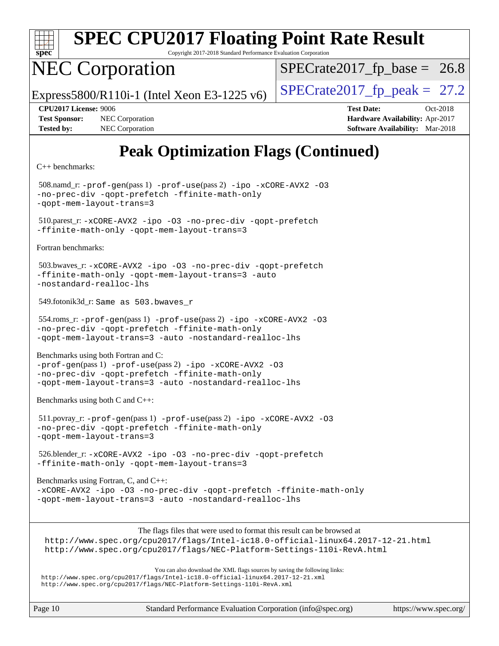

Copyright 2017-2018 Standard Performance Evaluation Corporation

## NEC Corporation

 $SPECTate2017_fp\_base = 26.8$ 

Express5800/R110i-1 (Intel Xeon E3-1225 v6) [SPECrate2017\\_fp\\_peak =](http://www.spec.org/auto/cpu2017/Docs/result-fields.html#SPECrate2017fppeak)  $27.2$ 

**[Tested by:](http://www.spec.org/auto/cpu2017/Docs/result-fields.html#Testedby)** NEC Corporation **[Software Availability:](http://www.spec.org/auto/cpu2017/Docs/result-fields.html#SoftwareAvailability)** Mar-2018

**[CPU2017 License:](http://www.spec.org/auto/cpu2017/Docs/result-fields.html#CPU2017License)** 9006 **[Test Date:](http://www.spec.org/auto/cpu2017/Docs/result-fields.html#TestDate)** Oct-2018 **[Test Sponsor:](http://www.spec.org/auto/cpu2017/Docs/result-fields.html#TestSponsor)** NEC Corporation **[Hardware Availability:](http://www.spec.org/auto/cpu2017/Docs/result-fields.html#HardwareAvailability)** Apr-2017

### **[Peak Optimization Flags \(Continued\)](http://www.spec.org/auto/cpu2017/Docs/result-fields.html#PeakOptimizationFlags)**

[C++ benchmarks:](http://www.spec.org/auto/cpu2017/Docs/result-fields.html#CXXbenchmarks)

 508.namd\_r: [-prof-gen](http://www.spec.org/cpu2017/results/res2018q4/cpu2017-20181015-09178.flags.html#user_peakPASS1_CXXFLAGSPASS1_LDFLAGS508_namd_r_prof_gen_5aa4926d6013ddb2a31985c654b3eb18169fc0c6952a63635c234f711e6e63dd76e94ad52365559451ec499a2cdb89e4dc58ba4c67ef54ca681ffbe1461d6b36)(pass 1) [-prof-use](http://www.spec.org/cpu2017/results/res2018q4/cpu2017-20181015-09178.flags.html#user_peakPASS2_CXXFLAGSPASS2_LDFLAGS508_namd_r_prof_use_1a21ceae95f36a2b53c25747139a6c16ca95bd9def2a207b4f0849963b97e94f5260e30a0c64f4bb623698870e679ca08317ef8150905d41bd88c6f78df73f19)(pass 2) [-ipo](http://www.spec.org/cpu2017/results/res2018q4/cpu2017-20181015-09178.flags.html#user_peakPASS1_CXXOPTIMIZEPASS2_CXXOPTIMIZE508_namd_r_f-ipo) [-xCORE-AVX2](http://www.spec.org/cpu2017/results/res2018q4/cpu2017-20181015-09178.flags.html#user_peakPASS2_CXXOPTIMIZE508_namd_r_f-xCORE-AVX2) [-O3](http://www.spec.org/cpu2017/results/res2018q4/cpu2017-20181015-09178.flags.html#user_peakPASS1_CXXOPTIMIZEPASS2_CXXOPTIMIZE508_namd_r_f-O3) [-no-prec-div](http://www.spec.org/cpu2017/results/res2018q4/cpu2017-20181015-09178.flags.html#user_peakPASS1_CXXOPTIMIZEPASS2_CXXOPTIMIZE508_namd_r_f-no-prec-div) [-qopt-prefetch](http://www.spec.org/cpu2017/results/res2018q4/cpu2017-20181015-09178.flags.html#user_peakPASS1_CXXOPTIMIZEPASS2_CXXOPTIMIZE508_namd_r_f-qopt-prefetch) [-ffinite-math-only](http://www.spec.org/cpu2017/results/res2018q4/cpu2017-20181015-09178.flags.html#user_peakPASS1_CXXOPTIMIZEPASS2_CXXOPTIMIZE508_namd_r_f_finite_math_only_cb91587bd2077682c4b38af759c288ed7c732db004271a9512da14a4f8007909a5f1427ecbf1a0fb78ff2a814402c6114ac565ca162485bbcae155b5e4258871) [-qopt-mem-layout-trans=3](http://www.spec.org/cpu2017/results/res2018q4/cpu2017-20181015-09178.flags.html#user_peakPASS1_CXXOPTIMIZEPASS2_CXXOPTIMIZE508_namd_r_f-qopt-mem-layout-trans_de80db37974c74b1f0e20d883f0b675c88c3b01e9d123adea9b28688d64333345fb62bc4a798493513fdb68f60282f9a726aa07f478b2f7113531aecce732043) 510.parest\_r: [-xCORE-AVX2](http://www.spec.org/cpu2017/results/res2018q4/cpu2017-20181015-09178.flags.html#user_peakCXXOPTIMIZE510_parest_r_f-xCORE-AVX2) [-ipo](http://www.spec.org/cpu2017/results/res2018q4/cpu2017-20181015-09178.flags.html#user_peakCXXOPTIMIZE510_parest_r_f-ipo) [-O3](http://www.spec.org/cpu2017/results/res2018q4/cpu2017-20181015-09178.flags.html#user_peakCXXOPTIMIZE510_parest_r_f-O3) [-no-prec-div](http://www.spec.org/cpu2017/results/res2018q4/cpu2017-20181015-09178.flags.html#user_peakCXXOPTIMIZE510_parest_r_f-no-prec-div) [-qopt-prefetch](http://www.spec.org/cpu2017/results/res2018q4/cpu2017-20181015-09178.flags.html#user_peakCXXOPTIMIZE510_parest_r_f-qopt-prefetch) [-ffinite-math-only](http://www.spec.org/cpu2017/results/res2018q4/cpu2017-20181015-09178.flags.html#user_peakCXXOPTIMIZE510_parest_r_f_finite_math_only_cb91587bd2077682c4b38af759c288ed7c732db004271a9512da14a4f8007909a5f1427ecbf1a0fb78ff2a814402c6114ac565ca162485bbcae155b5e4258871) [-qopt-mem-layout-trans=3](http://www.spec.org/cpu2017/results/res2018q4/cpu2017-20181015-09178.flags.html#user_peakCXXOPTIMIZE510_parest_r_f-qopt-mem-layout-trans_de80db37974c74b1f0e20d883f0b675c88c3b01e9d123adea9b28688d64333345fb62bc4a798493513fdb68f60282f9a726aa07f478b2f7113531aecce732043) [Fortran benchmarks](http://www.spec.org/auto/cpu2017/Docs/result-fields.html#Fortranbenchmarks): 503.bwaves\_r: [-xCORE-AVX2](http://www.spec.org/cpu2017/results/res2018q4/cpu2017-20181015-09178.flags.html#user_peakFOPTIMIZE503_bwaves_r_f-xCORE-AVX2) [-ipo](http://www.spec.org/cpu2017/results/res2018q4/cpu2017-20181015-09178.flags.html#user_peakFOPTIMIZE503_bwaves_r_f-ipo) [-O3](http://www.spec.org/cpu2017/results/res2018q4/cpu2017-20181015-09178.flags.html#user_peakFOPTIMIZE503_bwaves_r_f-O3) [-no-prec-div](http://www.spec.org/cpu2017/results/res2018q4/cpu2017-20181015-09178.flags.html#user_peakFOPTIMIZE503_bwaves_r_f-no-prec-div) [-qopt-prefetch](http://www.spec.org/cpu2017/results/res2018q4/cpu2017-20181015-09178.flags.html#user_peakFOPTIMIZE503_bwaves_r_f-qopt-prefetch) [-ffinite-math-only](http://www.spec.org/cpu2017/results/res2018q4/cpu2017-20181015-09178.flags.html#user_peakFOPTIMIZE503_bwaves_r_f_finite_math_only_cb91587bd2077682c4b38af759c288ed7c732db004271a9512da14a4f8007909a5f1427ecbf1a0fb78ff2a814402c6114ac565ca162485bbcae155b5e4258871) [-qopt-mem-layout-trans=3](http://www.spec.org/cpu2017/results/res2018q4/cpu2017-20181015-09178.flags.html#user_peakFOPTIMIZE503_bwaves_r_f-qopt-mem-layout-trans_de80db37974c74b1f0e20d883f0b675c88c3b01e9d123adea9b28688d64333345fb62bc4a798493513fdb68f60282f9a726aa07f478b2f7113531aecce732043) [-auto](http://www.spec.org/cpu2017/results/res2018q4/cpu2017-20181015-09178.flags.html#user_peakFOPTIMIZE503_bwaves_r_f-auto) [-nostandard-realloc-lhs](http://www.spec.org/cpu2017/results/res2018q4/cpu2017-20181015-09178.flags.html#user_peakEXTRA_FOPTIMIZE503_bwaves_r_f_2003_std_realloc_82b4557e90729c0f113870c07e44d33d6f5a304b4f63d4c15d2d0f1fab99f5daaed73bdb9275d9ae411527f28b936061aa8b9c8f2d63842963b95c9dd6426b8a) 549.fotonik3d\_r: Same as 503.bwaves\_r 554.roms\_r: [-prof-gen](http://www.spec.org/cpu2017/results/res2018q4/cpu2017-20181015-09178.flags.html#user_peakPASS1_FFLAGSPASS1_LDFLAGS554_roms_r_prof_gen_5aa4926d6013ddb2a31985c654b3eb18169fc0c6952a63635c234f711e6e63dd76e94ad52365559451ec499a2cdb89e4dc58ba4c67ef54ca681ffbe1461d6b36)(pass 1) [-prof-use](http://www.spec.org/cpu2017/results/res2018q4/cpu2017-20181015-09178.flags.html#user_peakPASS2_FFLAGSPASS2_LDFLAGS554_roms_r_prof_use_1a21ceae95f36a2b53c25747139a6c16ca95bd9def2a207b4f0849963b97e94f5260e30a0c64f4bb623698870e679ca08317ef8150905d41bd88c6f78df73f19)(pass 2) [-ipo](http://www.spec.org/cpu2017/results/res2018q4/cpu2017-20181015-09178.flags.html#user_peakPASS1_FOPTIMIZEPASS2_FOPTIMIZE554_roms_r_f-ipo) [-xCORE-AVX2](http://www.spec.org/cpu2017/results/res2018q4/cpu2017-20181015-09178.flags.html#user_peakPASS2_FOPTIMIZE554_roms_r_f-xCORE-AVX2) [-O3](http://www.spec.org/cpu2017/results/res2018q4/cpu2017-20181015-09178.flags.html#user_peakPASS1_FOPTIMIZEPASS2_FOPTIMIZE554_roms_r_f-O3) [-no-prec-div](http://www.spec.org/cpu2017/results/res2018q4/cpu2017-20181015-09178.flags.html#user_peakPASS1_FOPTIMIZEPASS2_FOPTIMIZE554_roms_r_f-no-prec-div) [-qopt-prefetch](http://www.spec.org/cpu2017/results/res2018q4/cpu2017-20181015-09178.flags.html#user_peakPASS1_FOPTIMIZEPASS2_FOPTIMIZE554_roms_r_f-qopt-prefetch) [-ffinite-math-only](http://www.spec.org/cpu2017/results/res2018q4/cpu2017-20181015-09178.flags.html#user_peakPASS1_FOPTIMIZEPASS2_FOPTIMIZE554_roms_r_f_finite_math_only_cb91587bd2077682c4b38af759c288ed7c732db004271a9512da14a4f8007909a5f1427ecbf1a0fb78ff2a814402c6114ac565ca162485bbcae155b5e4258871) [-qopt-mem-layout-trans=3](http://www.spec.org/cpu2017/results/res2018q4/cpu2017-20181015-09178.flags.html#user_peakPASS1_FOPTIMIZEPASS2_FOPTIMIZE554_roms_r_f-qopt-mem-layout-trans_de80db37974c74b1f0e20d883f0b675c88c3b01e9d123adea9b28688d64333345fb62bc4a798493513fdb68f60282f9a726aa07f478b2f7113531aecce732043) [-auto](http://www.spec.org/cpu2017/results/res2018q4/cpu2017-20181015-09178.flags.html#user_peakPASS2_FOPTIMIZE554_roms_r_f-auto) [-nostandard-realloc-lhs](http://www.spec.org/cpu2017/results/res2018q4/cpu2017-20181015-09178.flags.html#user_peakEXTRA_FOPTIMIZE554_roms_r_f_2003_std_realloc_82b4557e90729c0f113870c07e44d33d6f5a304b4f63d4c15d2d0f1fab99f5daaed73bdb9275d9ae411527f28b936061aa8b9c8f2d63842963b95c9dd6426b8a) [Benchmarks using both Fortran and C](http://www.spec.org/auto/cpu2017/Docs/result-fields.html#BenchmarksusingbothFortranandC): [-prof-gen](http://www.spec.org/cpu2017/results/res2018q4/cpu2017-20181015-09178.flags.html#user_CC_FCpeak_prof_gen_5aa4926d6013ddb2a31985c654b3eb18169fc0c6952a63635c234f711e6e63dd76e94ad52365559451ec499a2cdb89e4dc58ba4c67ef54ca681ffbe1461d6b36)(pass 1) [-prof-use](http://www.spec.org/cpu2017/results/res2018q4/cpu2017-20181015-09178.flags.html#user_CC_FCpeak_prof_use_1a21ceae95f36a2b53c25747139a6c16ca95bd9def2a207b4f0849963b97e94f5260e30a0c64f4bb623698870e679ca08317ef8150905d41bd88c6f78df73f19)(pass 2) [-ipo](http://www.spec.org/cpu2017/results/res2018q4/cpu2017-20181015-09178.flags.html#user_CC_FCpeak_f-ipo) [-xCORE-AVX2](http://www.spec.org/cpu2017/results/res2018q4/cpu2017-20181015-09178.flags.html#user_CC_FCpeak_f-xCORE-AVX2) [-O3](http://www.spec.org/cpu2017/results/res2018q4/cpu2017-20181015-09178.flags.html#user_CC_FCpeak_f-O3) [-no-prec-div](http://www.spec.org/cpu2017/results/res2018q4/cpu2017-20181015-09178.flags.html#user_CC_FCpeak_f-no-prec-div) [-qopt-prefetch](http://www.spec.org/cpu2017/results/res2018q4/cpu2017-20181015-09178.flags.html#user_CC_FCpeak_f-qopt-prefetch) [-ffinite-math-only](http://www.spec.org/cpu2017/results/res2018q4/cpu2017-20181015-09178.flags.html#user_CC_FCpeak_f_finite_math_only_cb91587bd2077682c4b38af759c288ed7c732db004271a9512da14a4f8007909a5f1427ecbf1a0fb78ff2a814402c6114ac565ca162485bbcae155b5e4258871) [-qopt-mem-layout-trans=3](http://www.spec.org/cpu2017/results/res2018q4/cpu2017-20181015-09178.flags.html#user_CC_FCpeak_f-qopt-mem-layout-trans_de80db37974c74b1f0e20d883f0b675c88c3b01e9d123adea9b28688d64333345fb62bc4a798493513fdb68f60282f9a726aa07f478b2f7113531aecce732043) [-auto](http://www.spec.org/cpu2017/results/res2018q4/cpu2017-20181015-09178.flags.html#user_CC_FCpeak_f-auto) [-nostandard-realloc-lhs](http://www.spec.org/cpu2017/results/res2018q4/cpu2017-20181015-09178.flags.html#user_CC_FCpeak_f_2003_std_realloc_82b4557e90729c0f113870c07e44d33d6f5a304b4f63d4c15d2d0f1fab99f5daaed73bdb9275d9ae411527f28b936061aa8b9c8f2d63842963b95c9dd6426b8a) [Benchmarks using both C and C++](http://www.spec.org/auto/cpu2017/Docs/result-fields.html#BenchmarksusingbothCandCXX): 511.povray\_r: [-prof-gen](http://www.spec.org/cpu2017/results/res2018q4/cpu2017-20181015-09178.flags.html#user_peakPASS1_CFLAGSPASS1_CXXFLAGSPASS1_LDFLAGS511_povray_r_prof_gen_5aa4926d6013ddb2a31985c654b3eb18169fc0c6952a63635c234f711e6e63dd76e94ad52365559451ec499a2cdb89e4dc58ba4c67ef54ca681ffbe1461d6b36)(pass 1) [-prof-use](http://www.spec.org/cpu2017/results/res2018q4/cpu2017-20181015-09178.flags.html#user_peakPASS2_CFLAGSPASS2_CXXFLAGSPASS2_LDFLAGS511_povray_r_prof_use_1a21ceae95f36a2b53c25747139a6c16ca95bd9def2a207b4f0849963b97e94f5260e30a0c64f4bb623698870e679ca08317ef8150905d41bd88c6f78df73f19)(pass 2) [-ipo](http://www.spec.org/cpu2017/results/res2018q4/cpu2017-20181015-09178.flags.html#user_peakPASS1_COPTIMIZEPASS1_CXXOPTIMIZEPASS2_COPTIMIZEPASS2_CXXOPTIMIZE511_povray_r_f-ipo) [-xCORE-AVX2](http://www.spec.org/cpu2017/results/res2018q4/cpu2017-20181015-09178.flags.html#user_peakPASS2_COPTIMIZEPASS2_CXXOPTIMIZE511_povray_r_f-xCORE-AVX2) [-O3](http://www.spec.org/cpu2017/results/res2018q4/cpu2017-20181015-09178.flags.html#user_peakPASS1_COPTIMIZEPASS1_CXXOPTIMIZEPASS2_COPTIMIZEPASS2_CXXOPTIMIZE511_povray_r_f-O3) [-no-prec-div](http://www.spec.org/cpu2017/results/res2018q4/cpu2017-20181015-09178.flags.html#user_peakPASS1_COPTIMIZEPASS1_CXXOPTIMIZEPASS2_COPTIMIZEPASS2_CXXOPTIMIZE511_povray_r_f-no-prec-div) [-qopt-prefetch](http://www.spec.org/cpu2017/results/res2018q4/cpu2017-20181015-09178.flags.html#user_peakPASS1_COPTIMIZEPASS1_CXXOPTIMIZEPASS2_COPTIMIZEPASS2_CXXOPTIMIZE511_povray_r_f-qopt-prefetch) [-ffinite-math-only](http://www.spec.org/cpu2017/results/res2018q4/cpu2017-20181015-09178.flags.html#user_peakPASS1_COPTIMIZEPASS1_CXXOPTIMIZEPASS2_COPTIMIZEPASS2_CXXOPTIMIZE511_povray_r_f_finite_math_only_cb91587bd2077682c4b38af759c288ed7c732db004271a9512da14a4f8007909a5f1427ecbf1a0fb78ff2a814402c6114ac565ca162485bbcae155b5e4258871) [-qopt-mem-layout-trans=3](http://www.spec.org/cpu2017/results/res2018q4/cpu2017-20181015-09178.flags.html#user_peakPASS1_COPTIMIZEPASS1_CXXOPTIMIZEPASS2_COPTIMIZEPASS2_CXXOPTIMIZE511_povray_r_f-qopt-mem-layout-trans_de80db37974c74b1f0e20d883f0b675c88c3b01e9d123adea9b28688d64333345fb62bc4a798493513fdb68f60282f9a726aa07f478b2f7113531aecce732043) 526.blender\_r: [-xCORE-AVX2](http://www.spec.org/cpu2017/results/res2018q4/cpu2017-20181015-09178.flags.html#user_peakCOPTIMIZECXXOPTIMIZE526_blender_r_f-xCORE-AVX2) [-ipo](http://www.spec.org/cpu2017/results/res2018q4/cpu2017-20181015-09178.flags.html#user_peakCOPTIMIZECXXOPTIMIZE526_blender_r_f-ipo) [-O3](http://www.spec.org/cpu2017/results/res2018q4/cpu2017-20181015-09178.flags.html#user_peakCOPTIMIZECXXOPTIMIZE526_blender_r_f-O3) [-no-prec-div](http://www.spec.org/cpu2017/results/res2018q4/cpu2017-20181015-09178.flags.html#user_peakCOPTIMIZECXXOPTIMIZE526_blender_r_f-no-prec-div) [-qopt-prefetch](http://www.spec.org/cpu2017/results/res2018q4/cpu2017-20181015-09178.flags.html#user_peakCOPTIMIZECXXOPTIMIZE526_blender_r_f-qopt-prefetch) [-ffinite-math-only](http://www.spec.org/cpu2017/results/res2018q4/cpu2017-20181015-09178.flags.html#user_peakCOPTIMIZECXXOPTIMIZE526_blender_r_f_finite_math_only_cb91587bd2077682c4b38af759c288ed7c732db004271a9512da14a4f8007909a5f1427ecbf1a0fb78ff2a814402c6114ac565ca162485bbcae155b5e4258871) [-qopt-mem-layout-trans=3](http://www.spec.org/cpu2017/results/res2018q4/cpu2017-20181015-09178.flags.html#user_peakCOPTIMIZECXXOPTIMIZE526_blender_r_f-qopt-mem-layout-trans_de80db37974c74b1f0e20d883f0b675c88c3b01e9d123adea9b28688d64333345fb62bc4a798493513fdb68f60282f9a726aa07f478b2f7113531aecce732043) [Benchmarks using Fortran, C, and C++:](http://www.spec.org/auto/cpu2017/Docs/result-fields.html#BenchmarksusingFortranCandCXX) [-xCORE-AVX2](http://www.spec.org/cpu2017/results/res2018q4/cpu2017-20181015-09178.flags.html#user_CC_CXX_FCpeak_f-xCORE-AVX2) [-ipo](http://www.spec.org/cpu2017/results/res2018q4/cpu2017-20181015-09178.flags.html#user_CC_CXX_FCpeak_f-ipo) [-O3](http://www.spec.org/cpu2017/results/res2018q4/cpu2017-20181015-09178.flags.html#user_CC_CXX_FCpeak_f-O3) [-no-prec-div](http://www.spec.org/cpu2017/results/res2018q4/cpu2017-20181015-09178.flags.html#user_CC_CXX_FCpeak_f-no-prec-div) [-qopt-prefetch](http://www.spec.org/cpu2017/results/res2018q4/cpu2017-20181015-09178.flags.html#user_CC_CXX_FCpeak_f-qopt-prefetch) [-ffinite-math-only](http://www.spec.org/cpu2017/results/res2018q4/cpu2017-20181015-09178.flags.html#user_CC_CXX_FCpeak_f_finite_math_only_cb91587bd2077682c4b38af759c288ed7c732db004271a9512da14a4f8007909a5f1427ecbf1a0fb78ff2a814402c6114ac565ca162485bbcae155b5e4258871) [-qopt-mem-layout-trans=3](http://www.spec.org/cpu2017/results/res2018q4/cpu2017-20181015-09178.flags.html#user_CC_CXX_FCpeak_f-qopt-mem-layout-trans_de80db37974c74b1f0e20d883f0b675c88c3b01e9d123adea9b28688d64333345fb62bc4a798493513fdb68f60282f9a726aa07f478b2f7113531aecce732043) [-auto](http://www.spec.org/cpu2017/results/res2018q4/cpu2017-20181015-09178.flags.html#user_CC_CXX_FCpeak_f-auto) [-nostandard-realloc-lhs](http://www.spec.org/cpu2017/results/res2018q4/cpu2017-20181015-09178.flags.html#user_CC_CXX_FCpeak_f_2003_std_realloc_82b4557e90729c0f113870c07e44d33d6f5a304b4f63d4c15d2d0f1fab99f5daaed73bdb9275d9ae411527f28b936061aa8b9c8f2d63842963b95c9dd6426b8a) The flags files that were used to format this result can be browsed at <http://www.spec.org/cpu2017/flags/Intel-ic18.0-official-linux64.2017-12-21.html> <http://www.spec.org/cpu2017/flags/NEC-Platform-Settings-110i-RevA.html>

You can also download the XML flags sources by saving the following links: <http://www.spec.org/cpu2017/flags/Intel-ic18.0-official-linux64.2017-12-21.xml> <http://www.spec.org/cpu2017/flags/NEC-Platform-Settings-110i-RevA.xml>